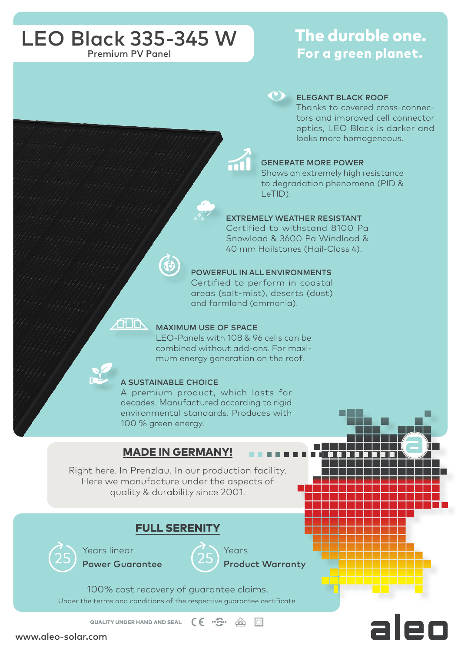# LEO Black 335-345 W Premium PV Panel

# The durable one. For a green planet.



#### ELEGANT BLACK ROOF

Thanks to covered cross-connectors and improved cell connector optics, LEO Black is darker and looks more homogeneous.

### GENERATE MORE POWER

Shows an extremely high resistance to degradation phenomena (PID & LeTID).

#### EXTREMELY WEATHER RESISTANT

Certified to withstand 8100 Pa Snowload & 3600 Pa Windload & 40 mm Hailstones (Hail-Class 4).

#### POWERFUL IN ALL ENVIRONMENTS

Certified to perform in coastal areas (salt-mist), deserts (dust) and farmland (ammonia).

#### 在下 MAXIMUM USE OF SPACE

LEO-Panels with 108 & 96 cells can be combined without add-ons. For maximum energy generation on the roof.

#### A SUSTAINABLE CHOICE

A premium product, which lasts for decades. Manufactured according to rigid environmental standards. Produces with 100 % green energy.

### MADE IN GERMANY!

Right here. In Prenzlau. In our production facility. Here we manufacture under the aspects of quality & durability since 2001.

## FULL SERENITY



Years linear Power Guarantee



Years Product Warranty

Under the terms and conditions of the respective guarantee certificate. 100% cost recovery of guarantee claims.

QUALITY UNDER HAND AND SEAL  $\left( \begin{array}{ccc} \epsilon & \epsilon & \epsilon \\ \epsilon & \epsilon & \epsilon \end{array} \right)$ 

www.aleo-solar.com